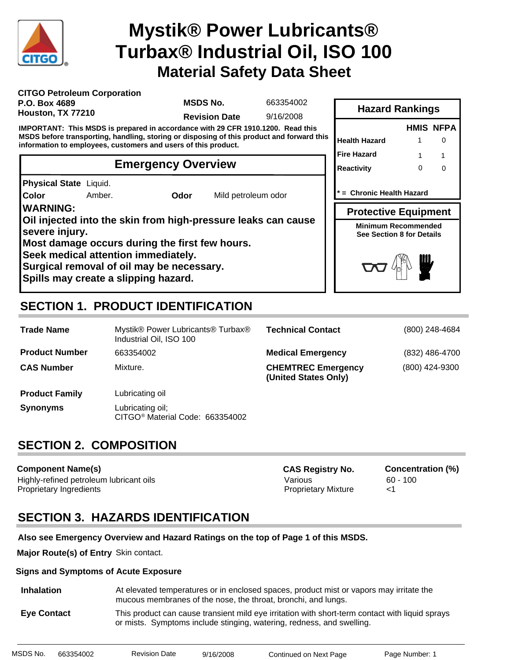

# **Material Safety Data Sheet Mystik® Power Lubricants® Turbax® Industrial Oil, ISO 100**

| <b>CITGO Petroleum Corporation</b> |  |
|------------------------------------|--|
| P.O. Box 4689                      |  |
| Houston, TX 77210                  |  |

**MSDS No.**

663354002

**Revision Date** 9/16/2008

**IMPORTANT: This MSDS is prepared in accordance with 29 CFR 1910.1200. Read this MSDS before transporting, handling, storing or disposing of this product and forward this information to employees, customers and users of this product.**

# **Emergency Overview**

**Physical State** Liquid.

**Color**

Amber. **Odor** Mild petroleum odor

**WARNING:**

**Oil injected into the skin from high-pressure leaks can cause severe injury.**

**Most damage occurs during the first few hours.**

**Seek medical attention immediately.**

**Surgical removal of oil may be necessary.**

**Spills may create a slipping hazard.**

# **SECTION 1. PRODUCT IDENTIFICATION**

| <b>Trade Name</b>     | Mystik® Power Lubricants® Turbax®<br>Industrial Oil, ISO 100    | <b>Technical Contact</b>                          | (800) 248-4684 |
|-----------------------|-----------------------------------------------------------------|---------------------------------------------------|----------------|
| <b>Product Number</b> | 663354002                                                       | <b>Medical Emergency</b>                          | (832) 486-4700 |
| <b>CAS Number</b>     | Mixture.                                                        | <b>CHEMTREC Emergency</b><br>(United States Only) | (800) 424-9300 |
| <b>Product Family</b> | Lubricating oil                                                 |                                                   |                |
| <b>Synonyms</b>       | Lubricating oil;<br>CITGO <sup>®</sup> Material Code: 663354002 |                                                   |                |

# **SECTION 2. COMPOSITION**

**Component Name(s)** Highly-refined petroleum lubricant oils **Various** Various 60 - 100 Proprietary Ingredients Proprietary Mixture <1 **CAS Registry No. Concentration (%)**

# **SECTION 3. HAZARDS IDENTIFICATION**

**Also see Emergency Overview and Hazard Ratings on the top of Page 1 of this MSDS.**

**Major Route(s) of Entry** Skin contact.

#### **Signs and Symptoms of Acute Exposure**

 **Inhalation** At elevated temperatures or in enclosed spaces, product mist or vapors may irritate the mucous membranes of the nose, the throat, bronchi, and lungs.

 **Eye Contact** This product can cause transient mild eye irritation with short-term contact with liquid sprays or mists. Symptoms include stinging, watering, redness, and swelling.

|      | <b>Hazard Rankings</b>                                  |   |                  |  |  |  |  |
|------|---------------------------------------------------------|---|------------------|--|--|--|--|
|      |                                                         |   | <b>HMIS NFPA</b> |  |  |  |  |
| this | <b>Health Hazard</b>                                    |   | ი                |  |  |  |  |
|      | <b>Fire Hazard</b>                                      | 1 | 1                |  |  |  |  |
|      | <b>Reactivity</b>                                       | O | U                |  |  |  |  |
|      |                                                         |   |                  |  |  |  |  |
|      | * = Chronic Health Hazard                               |   |                  |  |  |  |  |
|      | <b>Protective Equipment</b>                             |   |                  |  |  |  |  |
|      | <b>Minimum Recommended</b><br>See Section 8 for Details |   |                  |  |  |  |  |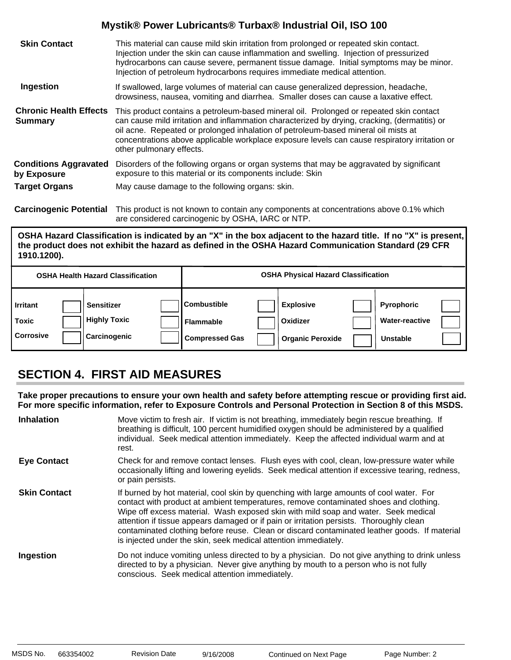| <b>Skin Contact</b>                             | This material can cause mild skin irritation from prolonged or repeated skin contact.<br>Injection under the skin can cause inflammation and swelling. Injection of pressurized<br>hydrocarbons can cause severe, permanent tissue damage. Initial symptoms may be minor.<br>Injection of petroleum hydrocarbons requires immediate medical attention.                                                      |
|-------------------------------------------------|-------------------------------------------------------------------------------------------------------------------------------------------------------------------------------------------------------------------------------------------------------------------------------------------------------------------------------------------------------------------------------------------------------------|
| Ingestion                                       | If swallowed, large volumes of material can cause generalized depression, headache,<br>drowsiness, nausea, vomiting and diarrhea. Smaller doses can cause a laxative effect.                                                                                                                                                                                                                                |
| <b>Chronic Health Effects</b><br><b>Summary</b> | This product contains a petroleum-based mineral oil. Prolonged or repeated skin contact<br>can cause mild irritation and inflammation characterized by drying, cracking, (dermatitis) or<br>oil acne. Repeated or prolonged inhalation of petroleum-based mineral oil mists at<br>concentrations above applicable workplace exposure levels can cause respiratory irritation or<br>other pulmonary effects. |
| <b>Conditions Aggravated</b><br>by Exposure     | Disorders of the following organs or organ systems that may be aggravated by significant<br>exposure to this material or its components include: Skin                                                                                                                                                                                                                                                       |
| <b>Target Organs</b>                            | May cause damage to the following organs: skin.                                                                                                                                                                                                                                                                                                                                                             |

**Carcinogenic Potential** This product is not known to contain any components at concentrations above 0.1% which are considered carcinogenic by OSHA, IARC or NTP.

#### **OSHA Hazard Classification is indicated by an "X" in the box adjacent to the hazard title. If no "X" is present, the product does not exhibit the hazard as defined in the OSHA Hazard Communication Standard (29 CFR 1910.1200).**

|                                       | <b>OSHA Health Hazard Classification</b>                        |                                                                  | <b>OSHA Physical Hazard Classification</b>              |                                                               |  |
|---------------------------------------|-----------------------------------------------------------------|------------------------------------------------------------------|---------------------------------------------------------|---------------------------------------------------------------|--|
| <b>Irritant</b><br>Toxic<br>Corrosive | <b>Sensitizer</b><br><b>Highly Toxic</b><br><b>Carcinogenic</b> | <b>ICombustible</b><br><b>Flammable</b><br><b>Compressed Gas</b> | <b>Explosive</b><br>Oxidizer<br><b>Organic Peroxide</b> | <b>Pyrophoric</b><br><b>Water-reactive</b><br><b>Unstable</b> |  |

# **SECTION 4. FIRST AID MEASURES**

**Take proper precautions to ensure your own health and safety before attempting rescue or providing first aid. For more specific information, refer to Exposure Controls and Personal Protection in Section 8 of this MSDS.**

| <b>Inhalation</b>   | Move victim to fresh air. If victim is not breathing, immediately begin rescue breathing. If<br>breathing is difficult, 100 percent humidified oxygen should be administered by a qualified<br>individual. Seek medical attention immediately. Keep the affected individual warm and at<br>rest.                                                                                                                                                                                                                                     |
|---------------------|--------------------------------------------------------------------------------------------------------------------------------------------------------------------------------------------------------------------------------------------------------------------------------------------------------------------------------------------------------------------------------------------------------------------------------------------------------------------------------------------------------------------------------------|
| <b>Eye Contact</b>  | Check for and remove contact lenses. Flush eyes with cool, clean, low-pressure water while<br>occasionally lifting and lowering eyelids. Seek medical attention if excessive tearing, redness,<br>or pain persists.                                                                                                                                                                                                                                                                                                                  |
| <b>Skin Contact</b> | If burned by hot material, cool skin by quenching with large amounts of cool water. For<br>contact with product at ambient temperatures, remove contaminated shoes and clothing.<br>Wipe off excess material. Wash exposed skin with mild soap and water. Seek medical<br>attention if tissue appears damaged or if pain or irritation persists. Thoroughly clean<br>contaminated clothing before reuse. Clean or discard contaminated leather goods. If material<br>is injected under the skin, seek medical attention immediately. |
| Ingestion           | Do not induce vomiting unless directed to by a physician. Do not give anything to drink unless<br>directed to by a physician. Never give anything by mouth to a person who is not fully<br>conscious. Seek medical attention immediately.                                                                                                                                                                                                                                                                                            |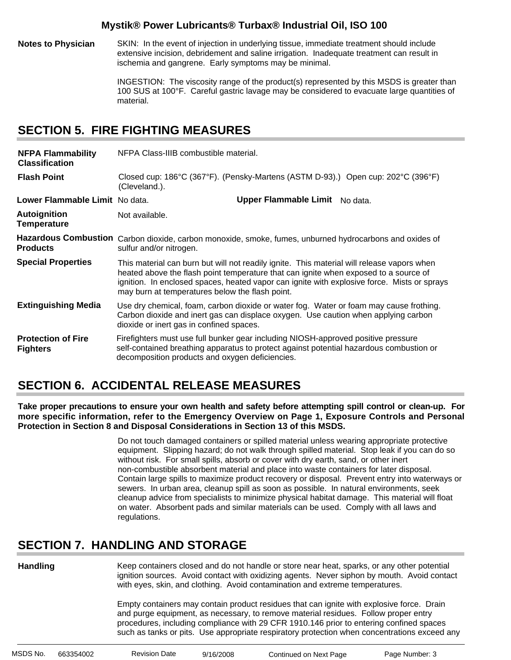**Notes to Physician** SKIN: In the event of injection in underlying tissue, immediate treatment should include extensive incision, debridement and saline irrigation. Inadequate treatment can result in ischemia and gangrene. Early symptoms may be minimal.

> INGESTION: The viscosity range of the product(s) represented by this MSDS is greater than 100 SUS at 100°F. Careful gastric lavage may be considered to evacuate large quantities of material.

# **SECTION 5. FIRE FIGHTING MEASURES**

| <b>NFPA Flammability</b><br><b>Classification</b> | NFPA Class-IIIB combustible material.                                                                                                                                                                                                                                                                                                |
|---------------------------------------------------|--------------------------------------------------------------------------------------------------------------------------------------------------------------------------------------------------------------------------------------------------------------------------------------------------------------------------------------|
| <b>Flash Point</b>                                | Closed cup: 186°C (367°F). (Pensky-Martens (ASTM D-93).) Open cup: 202°C (396°F)<br>(Cleveland.).                                                                                                                                                                                                                                    |
| Lower Flammable Limit No data.                    | Upper Flammable Limit No data.                                                                                                                                                                                                                                                                                                       |
| <b>Autoignition</b><br><b>Temperature</b>         | Not available.                                                                                                                                                                                                                                                                                                                       |
| <b>Products</b>                                   | Hazardous Combustion Carbon dioxide, carbon monoxide, smoke, fumes, unburned hydrocarbons and oxides of<br>sulfur and/or nitrogen.                                                                                                                                                                                                   |
| <b>Special Properties</b>                         | This material can burn but will not readily ignite. This material will release vapors when<br>heated above the flash point temperature that can ignite when exposed to a source of<br>ignition. In enclosed spaces, heated vapor can ignite with explosive force. Mists or sprays<br>may burn at temperatures below the flash point. |
| <b>Extinguishing Media</b>                        | Use dry chemical, foam, carbon dioxide or water fog. Water or foam may cause frothing.<br>Carbon dioxide and inert gas can displace oxygen. Use caution when applying carbon<br>dioxide or inert gas in confined spaces.                                                                                                             |
| <b>Protection of Fire</b><br><b>Fighters</b>      | Firefighters must use full bunker gear including NIOSH-approved positive pressure<br>self-contained breathing apparatus to protect against potential hazardous combustion or<br>decomposition products and oxygen deficiencies.                                                                                                      |

# **SECTION 6. ACCIDENTAL RELEASE MEASURES**

**Take proper precautions to ensure your own health and safety before attempting spill control or clean-up. For more specific information, refer to the Emergency Overview on Page 1, Exposure Controls and Personal Protection in Section 8 and Disposal Considerations in Section 13 of this MSDS.**

> Do not touch damaged containers or spilled material unless wearing appropriate protective equipment. Slipping hazard; do not walk through spilled material. Stop leak if you can do so without risk. For small spills, absorb or cover with dry earth, sand, or other inert non-combustible absorbent material and place into waste containers for later disposal. Contain large spills to maximize product recovery or disposal. Prevent entry into waterways or sewers. In urban area, cleanup spill as soon as possible. In natural environments, seek cleanup advice from specialists to minimize physical habitat damage. This material will float on water. Absorbent pads and similar materials can be used. Comply with all laws and regulations.

# **SECTION 7. HANDLING AND STORAGE**

**Handling**

Keep containers closed and do not handle or store near heat, sparks, or any other potential ignition sources. Avoid contact with oxidizing agents. Never siphon by mouth. Avoid contact with eyes, skin, and clothing. Avoid contamination and extreme temperatures.

Empty containers may contain product residues that can ignite with explosive force. Drain and purge equipment, as necessary, to remove material residues. Follow proper entry procedures, including compliance with 29 CFR 1910.146 prior to entering confined spaces such as tanks or pits. Use appropriate respiratory protection when concentrations exceed any

| MSDS No. | 663354002 | <b>Revision Date</b> | 9/16/2008 | Continued on Next Page | Page Number: 3 |
|----------|-----------|----------------------|-----------|------------------------|----------------|
|          |           |                      |           |                        |                |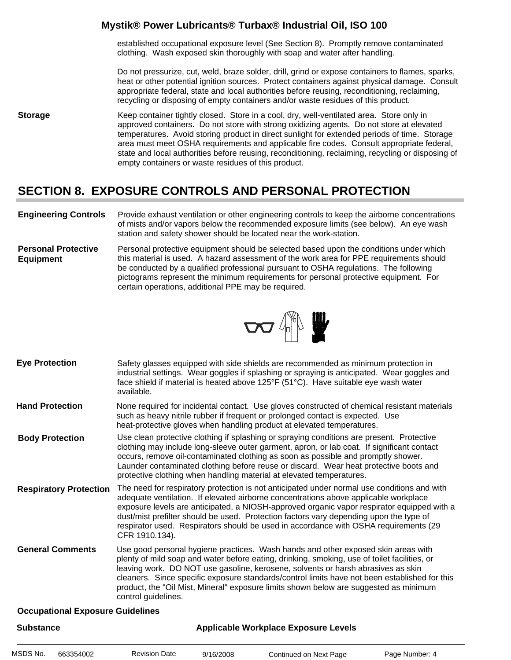established occupational exposure level (See Section 8). Promptly remove contaminated clothing. Wash exposed skin thoroughly with soap and water after handling.

Do not pressurize, cut, weld, braze solder, drill, grind or expose containers to flames, sparks, heat or other potential ignition sources. Protect containers against physical damage. Consult appropriate federal, state and local authorities before reusing, reconditioning, reclaiming, recycling or disposing of empty containers and/or waste residues of this product.

**Storage** Keep container tightly closed. Store in a cool, dry, well-ventilated area. Store only in approved containers. Do not store with strong oxidizing agents. Do not store at elevated temperatures. Avoid storing product in direct sunlight for extended periods of time. Storage area must meet OSHA requirements and applicable fire codes. Consult appropriate federal, state and local authorities before reusing, reconditioning, reclaiming, recycling or disposing of empty containers or waste residues of this product.

# **SECTION 8. EXPOSURE CONTROLS AND PERSONAL PROTECTION**

- **Engineering Controls** Provide exhaust ventilation or other engineering controls to keep the airborne concentrations of mists and/or vapors below the recommended exposure limits (see below). An eye wash station and safety shower should be located near the work-station.
- **Personal Protective Equipment** Personal protective equipment should be selected based upon the conditions under which this material is used. A hazard assessment of the work area for PPE requirements should be conducted by a qualified professional pursuant to OSHA regulations. The following pictograms represent the minimum requirements for personal protective equipment. For certain operations, additional PPE may be required.



- Safety glasses equipped with side shields are recommended as minimum protection in industrial settings. Wear goggles if splashing or spraying is anticipated. Wear goggles and face shield if material is heated above 125°F (51°C). Have suitable eye wash water available. **Eye Protection**
- None required for incidental contact. Use gloves constructed of chemical resistant materials such as heavy nitrile rubber if frequent or prolonged contact is expected. Use heat-protective gloves when handling product at elevated temperatures. **Hand Protection**
- Use clean protective clothing if splashing or spraying conditions are present. Protective clothing may include long-sleeve outer garment, apron, or lab coat. If significant contact occurs, remove oil-contaminated clothing as soon as possible and promptly shower. Launder contaminated clothing before reuse or discard. Wear heat protective boots and protective clothing when handling material at elevated temperatures. **Body Protection**
- The need for respiratory protection is not anticipated under normal use conditions and with adequate ventilation. If elevated airborne concentrations above applicable workplace exposure levels are anticipated, a NIOSH-approved organic vapor respirator equipped with a dust/mist prefilter should be used. Protection factors vary depending upon the type of respirator used. Respirators should be used in accordance with OSHA requirements (29 CFR 1910.134). **Respiratory Protection**
- Use good personal hygiene practices. Wash hands and other exposed skin areas with plenty of mild soap and water before eating, drinking, smoking, use of toilet facilities, or leaving work. DO NOT use gasoline, kerosene, solvents or harsh abrasives as skin cleaners. Since specific exposure standards/control limits have not been established for this product, the "Oil Mist, Mineral" exposure limits shown below are suggested as minimum control guidelines. **General Comments**

#### **Occupational Exposure Guidelines**

| <b>Substance</b> |           |                      | <b>Applicable Workplace Exposure Levels</b> |                        |                |  |  |
|------------------|-----------|----------------------|---------------------------------------------|------------------------|----------------|--|--|
| MSDS No.         | 663354002 | <b>Revision Date</b> | 9/16/2008                                   | Continued on Next Page | Page Number: 4 |  |  |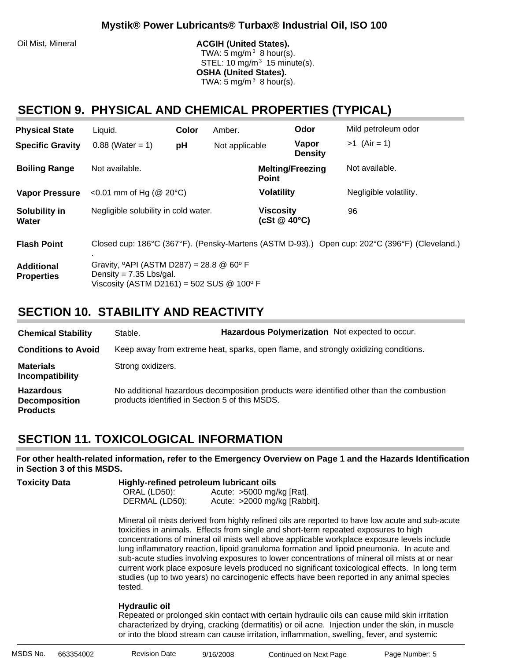#### Oil Mist, Mineral **ACGIH (United States).**

TWA: 5 mg/m $3$  8 hour(s). STEL: 10 mg/m $3$  15 minute(s). **OSHA (United States).** TWA: 5 mg/m $3$  8 hour(s).

### **SECTION 9. PHYSICAL AND CHEMICAL PROPERTIES (TYPICAL)**

| <b>Physical State</b>                  | Liquid.                                                                                                                                            | Color | Amber.         |                                            | Odor                    | Mild petroleum odor                                                                           |
|----------------------------------------|----------------------------------------------------------------------------------------------------------------------------------------------------|-------|----------------|--------------------------------------------|-------------------------|-----------------------------------------------------------------------------------------------|
| <b>Specific Gravity</b>                | $0.88$ (Water = 1)                                                                                                                                 | pH    | Not applicable |                                            | Vapor<br><b>Density</b> | $>1$ (Air = 1)                                                                                |
| <b>Boiling Range</b>                   | Not available.                                                                                                                                     |       |                | <b>Point</b>                               | <b>Melting/Freezing</b> | Not available.                                                                                |
| <b>Vapor Pressure</b>                  | <0.01 mm of Hg ( $@$ 20 $°C$ )                                                                                                                     |       |                | <b>Volatility</b>                          |                         | Negligible volatility.                                                                        |
| Solubility in<br>Water                 | Negligible solubility in cold water.                                                                                                               |       |                | <b>Viscosity</b><br>$(cSt \& 40^{\circ}C)$ |                         | 96                                                                                            |
| <b>Flash Point</b>                     |                                                                                                                                                    |       |                |                                            |                         | Closed cup: 186°C (367°F). (Pensky-Martens (ASTM D-93).) Open cup: 202°C (396°F) (Cleveland.) |
| <b>Additional</b><br><b>Properties</b> | Gravity, $^{\circ}$ API (ASTM D287) = 28.8 @ 60 $^{\circ}$ F<br>Density = $7.35$ Lbs/gal.<br>Viscosity (ASTM D2161) = 502 SUS $@$ 100 $^{\circ}$ F |       |                |                                            |                         |                                                                                               |

### **SECTION 10. STABILITY AND REACTIVITY**

| <b>Chemical Stability</b>                                   | Stable.                                        | Hazardous Polymerization Not expected to occur.                                     |                                                                                          |
|-------------------------------------------------------------|------------------------------------------------|-------------------------------------------------------------------------------------|------------------------------------------------------------------------------------------|
| <b>Conditions to Avoid</b>                                  |                                                | Keep away from extreme heat, sparks, open flame, and strongly oxidizing conditions. |                                                                                          |
| <b>Materials</b><br>Incompatibility                         | Strong oxidizers.                              |                                                                                     |                                                                                          |
| <b>Hazardous</b><br><b>Decomposition</b><br><b>Products</b> | products identified in Section 5 of this MSDS. |                                                                                     | No additional hazardous decomposition products were identified other than the combustion |

# **SECTION 11. TOXICOLOGICAL INFORMATION**

**For other health-related information, refer to the Emergency Overview on Page 1 and the Hazards Identification in Section 3 of this MSDS.**

| <b>Toxicity Data</b> | Highly-refined petroleum lubricant oils |                                |  |  |  |
|----------------------|-----------------------------------------|--------------------------------|--|--|--|
|                      | ORAL (LD50):                            | Acute: $>5000$ mg/kg [Rat].    |  |  |  |
|                      | DERMAL (LD50):                          | Acute: $>2000$ mg/kg [Rabbit]. |  |  |  |

Mineral oil mists derived from highly refined oils are reported to have low acute and sub-acute toxicities in animals. Effects from single and short-term repeated exposures to high concentrations of mineral oil mists well above applicable workplace exposure levels include lung inflammatory reaction, lipoid granuloma formation and lipoid pneumonia. In acute and sub-acute studies involving exposures to lower concentrations of mineral oil mists at or near current work place exposure levels produced no significant toxicological effects. In long term studies (up to two years) no carcinogenic effects have been reported in any animal species tested.

#### **Hydraulic oil**:

Repeated or prolonged skin contact with certain hydraulic oils can cause mild skin irritation characterized by drying, cracking (dermatitis) or oil acne. Injection under the skin, in muscle or into the blood stream can cause irritation, inflammation, swelling, fever, and systemic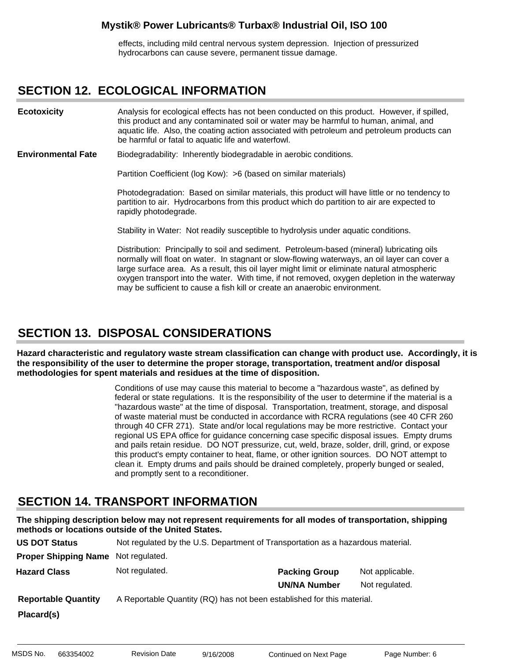effects, including mild central nervous system depression. Injection of pressurized hydrocarbons can cause severe, permanent tissue damage.

### **SECTION 12. ECOLOGICAL INFORMATION**

Analysis for ecological effects has not been conducted on this product. However, if spilled, this product and any contaminated soil or water may be harmful to human, animal, and aquatic life. Also, the coating action associated with petroleum and petroleum products can be harmful or fatal to aquatic life and waterfowl. **Ecotoxicity**

Biodegradability: Inherently biodegradable in aerobic conditions. **Environmental Fate**

Partition Coefficient (log Kow): >6 (based on similar materials)

Photodegradation: Based on similar materials, this product will have little or no tendency to partition to air. Hydrocarbons from this product which do partition to air are expected to rapidly photodegrade.

Stability in Water: Not readily susceptible to hydrolysis under aquatic conditions.

Distribution: Principally to soil and sediment. Petroleum-based (mineral) lubricating oils normally will float on water. In stagnant or slow-flowing waterways, an oil layer can cover a large surface area. As a result, this oil layer might limit or eliminate natural atmospheric oxygen transport into the water. With time, if not removed, oxygen depletion in the waterway may be sufficient to cause a fish kill or create an anaerobic environment.

# **SECTION 13. DISPOSAL CONSIDERATIONS**

**Hazard characteristic and regulatory waste stream classification can change with product use. Accordingly, it is the responsibility of the user to determine the proper storage, transportation, treatment and/or disposal methodologies for spent materials and residues at the time of disposition.**

> Conditions of use may cause this material to become a "hazardous waste", as defined by federal or state regulations. It is the responsibility of the user to determine if the material is a "hazardous waste" at the time of disposal. Transportation, treatment, storage, and disposal of waste material must be conducted in accordance with RCRA regulations (see 40 CFR 260 through 40 CFR 271). State and/or local regulations may be more restrictive. Contact your regional US EPA office for guidance concerning case specific disposal issues. Empty drums and pails retain residue. DO NOT pressurize, cut, weld, braze, solder, drill, grind, or expose this product's empty container to heat, flame, or other ignition sources. DO NOT attempt to clean it. Empty drums and pails should be drained completely, properly bunged or sealed, and promptly sent to a reconditioner.

# **SECTION 14. TRANSPORT INFORMATION**

**The shipping description below may not represent requirements for all modes of transportation, shipping methods or locations outside of the United States.**

| <b>US DOT Status</b>        | Not regulated by the U.S. Department of Transportation as a hazardous material. |                      |                 |
|-----------------------------|---------------------------------------------------------------------------------|----------------------|-----------------|
| <b>Proper Shipping Name</b> | Not regulated.                                                                  |                      |                 |
| <b>Hazard Class</b>         | Not regulated.                                                                  | <b>Packing Group</b> | Not applicable. |
|                             |                                                                                 | <b>UN/NA Number</b>  | Not regulated.  |
| <b>Reportable Quantity</b>  | A Reportable Quantity (RQ) has not been established for this material.          |                      |                 |
| Placard(s)                  |                                                                                 |                      |                 |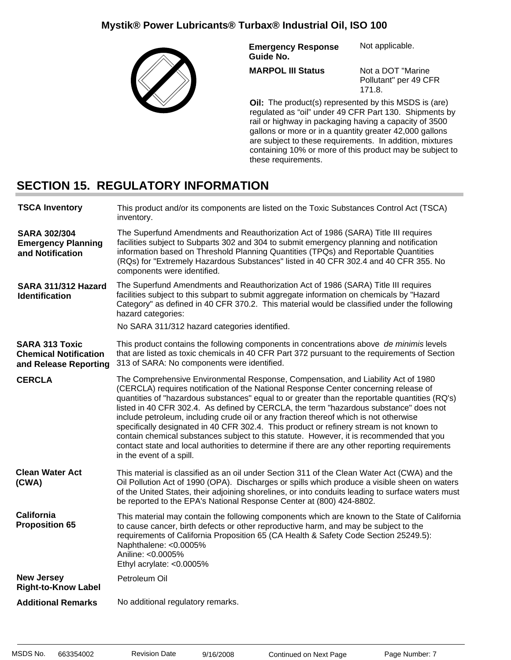

**Emergency Response Guide No.** Not applicable.

**MARPOL III Status**

Not a DOT "Marine Pollutant" per 49 CFR

**Oil:** The product(s) represented by this MSDS is (are) regulated as "oil" under 49 CFR Part 130. Shipments by rail or highway in packaging having a capacity of 3500 gallons or more or in a quantity greater 42,000 gallons are subject to these requirements. In addition, mixtures containing 10% or more of this product may be subject to these requirements.

171.8.

# **SECTION 15. REGULATORY INFORMATION**

| <b>TSCA Inventory</b>                                                          | This product and/or its components are listed on the Toxic Substances Control Act (TSCA)<br>inventory.                                                                                                                                                                                                                                                                                                                                                                                                                                                                                                                                                                                                                                                                              |  |
|--------------------------------------------------------------------------------|-------------------------------------------------------------------------------------------------------------------------------------------------------------------------------------------------------------------------------------------------------------------------------------------------------------------------------------------------------------------------------------------------------------------------------------------------------------------------------------------------------------------------------------------------------------------------------------------------------------------------------------------------------------------------------------------------------------------------------------------------------------------------------------|--|
| <b>SARA 302/304</b><br><b>Emergency Planning</b><br>and Notification           | The Superfund Amendments and Reauthorization Act of 1986 (SARA) Title III requires<br>facilities subject to Subparts 302 and 304 to submit emergency planning and notification<br>information based on Threshold Planning Quantities (TPQs) and Reportable Quantities<br>(RQs) for "Extremely Hazardous Substances" listed in 40 CFR 302.4 and 40 CFR 355. No<br>components were identified.                                                                                                                                                                                                                                                                                                                                                                                        |  |
| SARA 311/312 Hazard<br><b>Identification</b>                                   | The Superfund Amendments and Reauthorization Act of 1986 (SARA) Title III requires<br>facilities subject to this subpart to submit aggregate information on chemicals by "Hazard<br>Category" as defined in 40 CFR 370.2. This material would be classified under the following<br>hazard categories:                                                                                                                                                                                                                                                                                                                                                                                                                                                                               |  |
|                                                                                | No SARA 311/312 hazard categories identified.                                                                                                                                                                                                                                                                                                                                                                                                                                                                                                                                                                                                                                                                                                                                       |  |
| <b>SARA 313 Toxic</b><br><b>Chemical Notification</b><br>and Release Reporting | This product contains the following components in concentrations above de minimis levels<br>that are listed as toxic chemicals in 40 CFR Part 372 pursuant to the requirements of Section<br>313 of SARA: No components were identified.                                                                                                                                                                                                                                                                                                                                                                                                                                                                                                                                            |  |
| <b>CERCLA</b>                                                                  | The Comprehensive Environmental Response, Compensation, and Liability Act of 1980<br>(CERCLA) requires notification of the National Response Center concerning release of<br>quantities of "hazardous substances" equal to or greater than the reportable quantities (RQ's)<br>listed in 40 CFR 302.4. As defined by CERCLA, the term "hazardous substance" does not<br>include petroleum, including crude oil or any fraction thereof which is not otherwise<br>specifically designated in 40 CFR 302.4. This product or refinery stream is not known to<br>contain chemical substances subject to this statute. However, it is recommended that you<br>contact state and local authorities to determine if there are any other reporting requirements<br>in the event of a spill. |  |
| <b>Clean Water Act</b><br>(CWA)                                                | This material is classified as an oil under Section 311 of the Clean Water Act (CWA) and the<br>Oil Pollution Act of 1990 (OPA). Discharges or spills which produce a visible sheen on waters<br>of the United States, their adjoining shorelines, or into conduits leading to surface waters must<br>be reported to the EPA's National Response Center at (800) 424-8802.                                                                                                                                                                                                                                                                                                                                                                                                          |  |
| <b>California</b><br><b>Proposition 65</b>                                     | This material may contain the following components which are known to the State of California<br>to cause cancer, birth defects or other reproductive harm, and may be subject to the<br>requirements of California Proposition 65 (CA Health & Safety Code Section 25249.5):<br>Naphthalene: <0.0005%<br>Aniline: <0.0005%<br>Ethyl acrylate: <0.0005%                                                                                                                                                                                                                                                                                                                                                                                                                             |  |
| <b>New Jersey</b><br><b>Right-to-Know Label</b>                                | Petroleum Oil                                                                                                                                                                                                                                                                                                                                                                                                                                                                                                                                                                                                                                                                                                                                                                       |  |
| <b>Additional Remarks</b>                                                      | No additional regulatory remarks.                                                                                                                                                                                                                                                                                                                                                                                                                                                                                                                                                                                                                                                                                                                                                   |  |